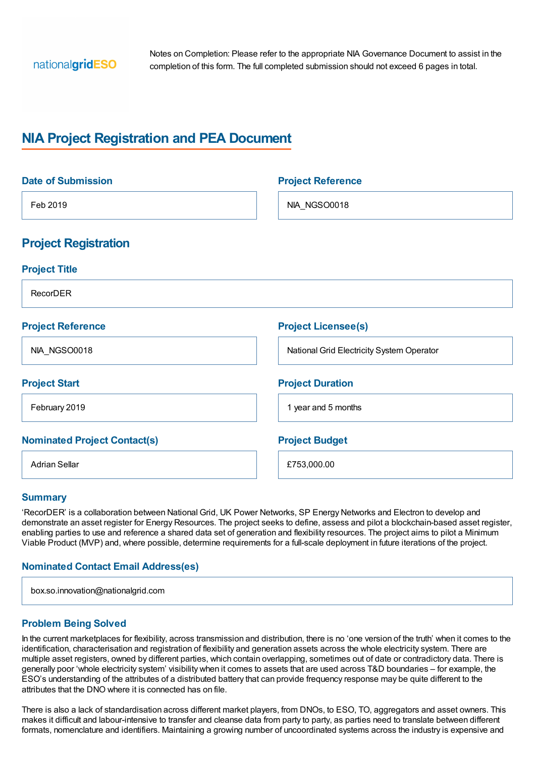

Notes on Completion: Please refer to the appropriate NIA Governance Document to assist in the completion of this form. The full completed submission should not exceed 6 pages in total.

# **NIA Project Registration and PEA Document**

| <b>Date of Submission</b>           | <b>Project Reference</b>                  |
|-------------------------------------|-------------------------------------------|
| Feb 2019                            | NIA_NGSO0018                              |
| <b>Project Registration</b>         |                                           |
| <b>Project Title</b>                |                                           |
| RecorDER                            |                                           |
| <b>Project Reference</b>            | <b>Project Licensee(s)</b>                |
| NIA_NGSO0018                        | National Grid Electricity System Operator |
| <b>Project Start</b>                | <b>Project Duration</b>                   |
| February 2019                       | 1 year and 5 months                       |
| <b>Nominated Project Contact(s)</b> | <b>Project Budget</b>                     |
| <b>Adrian Sellar</b>                | £753,000.00                               |

#### **Summary**

'RecorDER' is a collaboration between National Grid, UK Power Networks, SP Energy Networks and Electron to develop and demonstrate an asset register for Energy Resources. The project seeks to define, assess and pilot a blockchain-based asset register, enabling parties to use and reference a shared data set of generation and flexibility resources. The project aims to pilot a Minimum Viable Product (MVP) and, where possible, determine requirements for a full-scale deployment in future iterations of the project.

#### **Nominated Contact Email Address(es)**

| box.so.innovation@nationalgrid.com |  |
|------------------------------------|--|
|                                    |  |

#### **Problem Being Solved**

In the current marketplaces for flexibility, across transmission and distribution, there is no 'one version of the truth' when it comes to the identification, characterisation and registration of flexibility and generation assets across the whole electricity system. There are multiple asset registers, owned by different parties, which contain overlapping, sometimes out of date or contradictory data. There is generally poor 'whole electricity system' visibility when it comes to assets that are used across T&D boundaries – for example, the ESO's understanding of the attributes of a distributed battery that can provide frequency response may be quite different to the attributes that the DNO where it is connected has on file.

There is also a lack of standardisation across different market players, from DNOs, to ESO, TO, aggregators and asset owners. This makes it difficult and labour-intensive to transfer and cleanse data from party to party, as parties need to translate between different formats, nomenclature and identifiers. Maintaining a growing number of uncoordinated systems across the industry is expensive and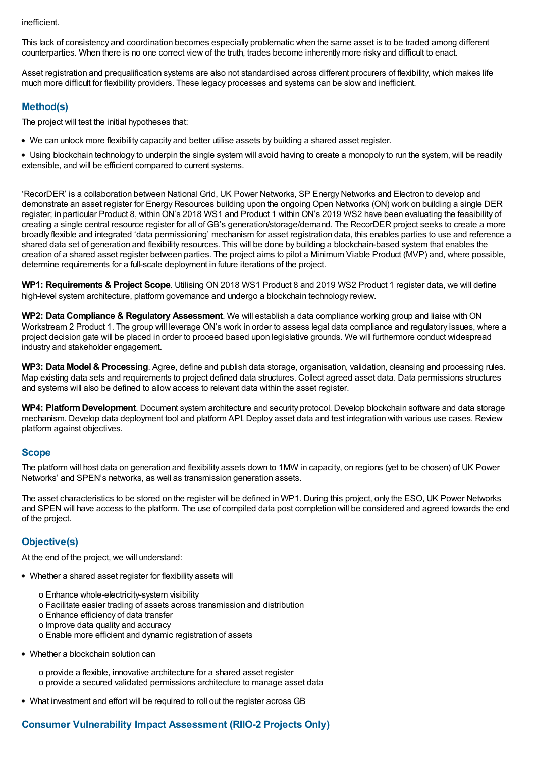inefficient.

This lack of consistency and coordination becomes especially problematic when the same asset is to be traded among different counterparties. When there is no one correct view of the truth, trades become inherently more risky and difficult to enact.

Asset registration and prequalification systems are also not standardised across different procurers of flexibility, which makes life much more difficult for flexibility providers. These legacy processes and systems can be slow and inefficient.

### **Method(s)**

The project will test the initial hypotheses that:

We can unlock more flexibility capacity and better utilise assets by building a shared asset register.

Using blockchain technology to underpin the single system will avoid having to create a monopoly to run the system, will be readily extensible, and will be efficient compared to current systems.

'RecorDER' is a collaboration between National Grid, UK Power Networks, SP Energy Networks and Electron to develop and demonstrate an asset register for Energy Resources building upon the ongoing Open Networks (ON) work on building a single DER register; in particular Product 8, withinON's 2018 WS1 and Product 1 withinON's 2019 WS2 have been evaluating the feasibility of creating a single central resource register for all of GB's generation/storage/demand. The RecorDER project seeks to create a more broadly flexible and integrated 'data permissioning' mechanism for asset registration data, this enables parties to use and reference a shared data set of generation and flexibility resources. This will be done by building a blockchain-based system that enables the creation of a shared asset register between parties. The project aims to pilot a Minimum Viable Product (MVP) and, where possible, determine requirements for a full-scale deployment in future iterations of the project.

**WP1: Requirements & Project Scope**. Utilising ON 2018 WS1 Product 8 and 2019 WS2 Product 1 register data, we will define high-level system architecture, platform governance and undergo a blockchain technology review.

**WP2: Data Compliance & Regulatory Assessment.** We will establish a data compliance working group and liaise with ON Workstream 2 Product 1. The group will leverage ON's work in order to assess legal data compliance and regulatory issues, where a project decision gate will be placed in order to proceed based upon legislative grounds. We will furthermore conduct widespread industry and stakeholder engagement.

**WP3: Data Model & Processing**. Agree, define and publish data storage, organisation, validation, cleansing and processing rules. Map existing data sets and requirements to project defined data structures. Collect agreed asset data. Data permissions structures and systems will also be defined to allow access to relevant data within the asset register.

**WP4: PlatformDevelopment**. Document system architecture and security protocol. Develop blockchain software and data storage mechanism. Develop data deployment tool and platform API. Deploy asset data and test integration with various use cases. Review platform against objectives.

#### **Scope**

The platform will host data on generation and flexibility assets down to 1MW in capacity, on regions (yet to be chosen) of UK Power Networks' and SPEN's networks, as well as transmission generation assets.

The asset characteristics to be stored on the register will be defined in WP1. During this project, only the ESO, UK Power Networks and SPEN will have access to the platform. The use of compiled data post completion will be considered and agreed towards the end of the project.

### **Objective(s)**

At the end of the project, we will understand:

- Whether a shared asset register for flexibility assets will
	- o Enhance whole-electricity-system visibility
	- o Facilitate easier trading of assets across transmission and distribution
	- o Enhance efficiency of data transfer
	- o Improve data quality and accuracy
	- o Enable more efficient and dynamic registration of assets
- Whether a blockchain solution can

o provide a flexible, innovative architecture for a shared asset register o provide a secured validated permissions architecture to manage asset data

What investment and effort will be required to roll out the register across GB

# **Consumer Vulnerability Impact Assessment (RIIO-2 Projects Only)**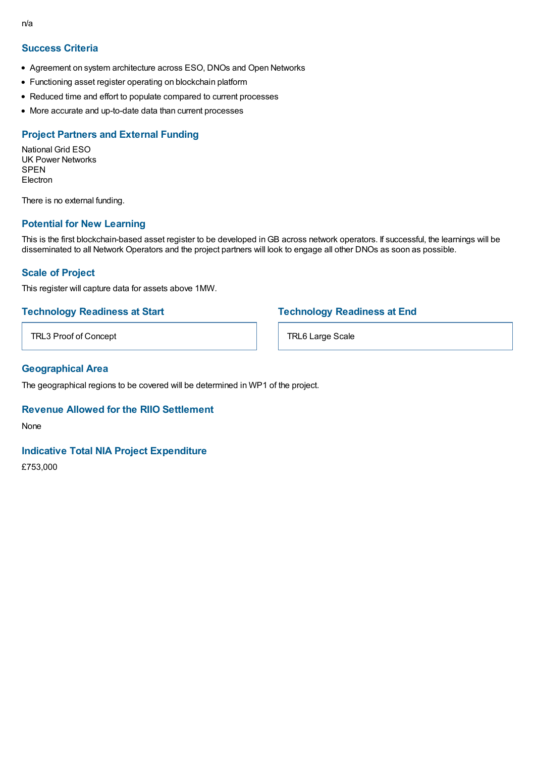- Agreement on system architecture across ESO, DNOs and Open Networks
- Functioning asset register operating on blockchain platform
- Reduced time and effort to populate compared to current processes
- More accurate and up-to-date data than current processes

### **Project Partners and External Funding**

National Grid ESO UK Power Networks **SPEN Electron** 

There is no external funding.

### **Potential for New Learning**

This is the first blockchain-based asset register to be developed inGB across network operators. If successful, the learnings will be disseminated to all Network Operators and the project partners will look to engage all other DNOs as soon as possible.

### **Scale of Project**

This register will capture data for assets above 1MW.

### **Technology Readiness at Start**

TRL3 Proof of Concept

### **Technology Readiness at End**

TRL6 Large Scale

### **Geographical Area**

The geographical regions to be covered will be determined in WP1 of the project.

### **Revenue Allowed for the RIIO Settlement**

None

### **Indicative Total NIA Project Expenditure**

£753,000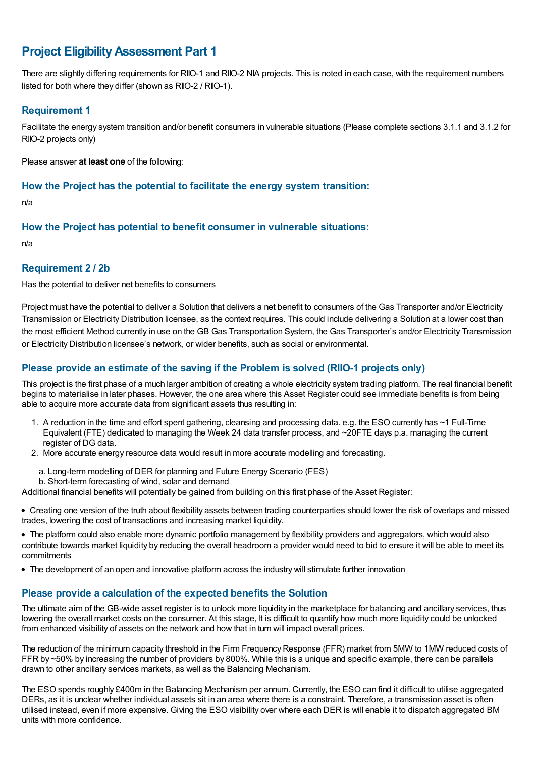# **Project EligibilityAssessment Part 1**

There are slightly differing requirements for RIIO-1 and RIIO-2 NIA projects. This is noted in each case, with the requirement numbers listed for both where they differ (shown as RIIO-2 / RIIO-1).

### **Requirement 1**

Facilitate the energy system transition and/or benefit consumers in vulnerable situations (Please complete sections 3.1.1 and 3.1.2 for RIIO-2 projects only)

Please answer **at least one** of the following:

### **How the Project has the potential to facilitate the energy system transition:**

n/a

### **How the Project has potential to benefit consumer in vulnerable situations:**

n/a

### **Requirement 2 / 2b**

Has the potential to deliver net benefits to consumers

Project must have the potential to deliver a Solution that delivers a net benefit to consumers of the Gas Transporter and/or Electricity Transmission or Electricity Distribution licensee, as the context requires. This could include delivering a Solution at a lower cost than the most efficient Method currently in use on the GB Gas Transportation System, the Gas Transporter's and/or Electricity Transmission or Electricity Distribution licensee's network, or wider benefits, such as social or environmental.

### **Please provide an estimate of the saving if the Problem is solved (RIIO-1 projects only)**

This project is the first phase of a much larger ambition of creating a whole electricity system trading platform. The real financial benefit begins to materialise in later phases. However, the one area where this Asset Register could see immediate benefits is from being able to acquire more accurate data from significant assets thus resulting in:

- 1. A reduction in the time and effort spent gathering, cleansing and processing data. e.g. the ESO currently has ~1 Full-Time Equivalent (FTE) dedicated to managing the Week 24 data transfer process, and ~20FTE days p.a. managing the current register of DG data.
- 2. More accurate energy resource data would result in more accurate modelling and forecasting.
	- a. Long-term modelling of DER for planning and Future Energy Scenario (FES)
	- b. Short-term forecasting of wind, solar and demand

Additional financial benefits will potentially be gained from building on this first phase of the Asset Register:

Creating one version of the truth about flexibility assets between trading counterparties should lower the risk of overlaps and missed trades, lowering the cost of transactions and increasing market liquidity.

The platform could also enable more dynamic portfolio management by flexibility providers and aggregators, which would also contribute towards market liquidity by reducing the overall headroom a provider would need to bid to ensure it will be able to meet its commitments

The development of an open and innovative platform across the industry will stimulate further innovation

### **Please provide a calculation of the expected benefits the Solution**

The ultimate aim of the GB-wide asset register is to unlock more liquidity in the marketplace for balancing and ancillary services, thus lowering the overall market costs on the consumer. At this stage, It is difficult to quantify how much more liquidity could be unlocked from enhanced visibility of assets on the network and how that in turn will impact overall prices.

The reduction of the minimum capacity threshold in the Firm Frequency Response (FFR) market from 5MW to 1MW reduced costs of FFR by ~50% by increasing the number of providers by 800%. While this is a unique and specific example, there can be parallels drawn to other ancillary services markets, as well as the Balancing Mechanism.

The ESO spends roughly £400m in the Balancing Mechanism per annum. Currently, the ESO can find it difficult to utilise aggregated DERs, as it is unclear whether individual assets sit in an area where there is a constraint. Therefore, a transmission asset is often utilised instead, even if more expensive. Giving the ESO visibility over where each DER is will enable it to dispatch aggregated BM units with more confidence.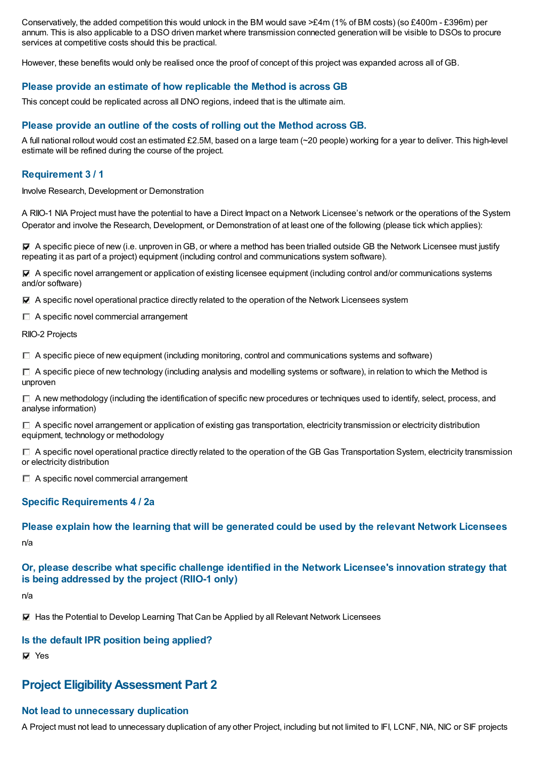Conservatively, the added competition this would unlock in the BM would save  $\geq$ £4m (1% of BM costs) (so £400m - £396m) per annum. This is also applicable to a DSO driven market where transmission connected generation will be visible to DSOs to procure services at competitive costs should this be practical.

However, these benefits would only be realised once the proof of concept of this project was expanded across all of GB.

### **Please provide an estimate of how replicable the Method is across GB**

This concept could be replicated across all DNO regions, indeed that is the ultimate aim.

#### **Please provide an outline of the costs of rolling out the Method across GB.**

A full national rollout would cost an estimated £2.5M, based on a large team (~20 people) working for a year to deliver. This high-level estimate will be refined during the course of the project.

### **Requirement 3 / 1**

Involve Research, Development or Demonstration

A RIIO-1 NIA Project must have the potential to have a Direct Impact on a Network Licensee's network or the operations of the System Operator and involve the Research, Development, or Demonstration of at least one of the following (please tick which applies):

 $\nabla$  A specific piece of new (i.e. unproven in GB, or where a method has been trialled outside GB the Network Licensee must justify repeating it as part of a project) equipment (including control and communications system software).

A specific novel arrangement or application of existing licensee equipment (including control and/or communications systems and/or software)

A specific novel operational practice directly related to the operation of the Network Licensees system

 $\Box$  A specific novel commercial arrangement

RIIO-2 Projects

 $\Box$  A specific piece of new equipment (including monitoring, control and communications systems and software)

 $\Box$  A specific piece of new technology (including analysis and modelling systems or software), in relation to which the Method is unproven

 $\Box$  A new methodology (including the identification of specific new procedures or techniques used to identify, select, process, and analyse information)

 $\Box$  A specific novel arrangement or application of existing gas transportation, electricity transmission or electricity distribution equipment, technology or methodology

 $\Box$  A specific novel operational practice directly related to the operation of the GB Gas Transportation System, electricity transmission or electricity distribution

 $\Box$  A specific novel commercial arrangement

### **Specific Requirements 4 / 2a**

**Please explain how the learning that will be generated could be used by the relevant Network Licensees**

n/a

### **Or, please describe what specific challenge identified in the Network Licensee's innovation strategy that is being addressed by the project (RIIO-1 only)**

n/a

Has the Potential to Develop Learning That Can be Applied by all Relevant Network Licensees

#### **Is the default IPR position being applied?**

**Ves** 

# **Project EligibilityAssessment Part 2**

#### **Not lead to unnecessary duplication**

A Project must not lead to unnecessary duplication of any other Project, including but not limited to IFI, LCNF, NIA, NIC or SIF projects